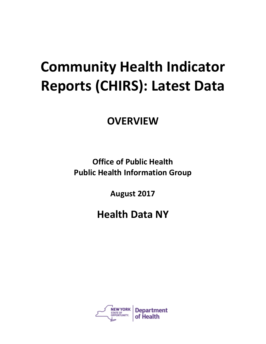# **Community Health Indicator Reports (CHIRS): Latest Data**

## **OVERVIEW**

**Office of Public Health Public Health Information Group**

**August 2017**

### **Health Data NY**

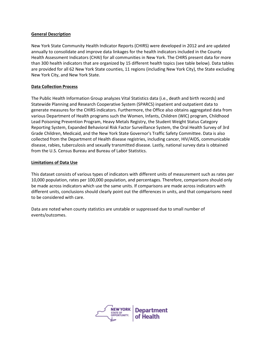#### **General Description**

New York State Community Health Indicator Reports (CHIRS) were developed in 2012 and are updated annually to consolidate and improve data linkages for the health indicators included in the County Health Assessment Indicators (CHAI) for all communities in New York. The CHIRS present data for more than 300 health indicators that are organized by 15 different health topics (see table below). Data tables are provided for all 62 New York State counties, 11 regions (including New York City), the State excluding New York City, and New York State.

#### **Data Collection Process**

The Public Health Information Group analyzes Vital Statistics data (i.e., death and birth records) and Statewide Planning and Research Cooperative System (SPARCS) inpatient and outpatient data to generate measures for the CHIRS indicators. Furthermore, the Office also obtains aggregated data from various Department of Health programs such the Women, Infants, Children (WIC) program, Childhood Lead Poisoning Prevention Program, Heavy Metals Registry, the Student Weight Status Category Reporting System, Expanded Behavioral Risk Factor Surveillance System, the Oral Health Survey of 3rd Grade Children, Medicaid, and the New York State Governor's Traffic Safety Committee. Data is also collected from the Department of Health disease registries, including cancer, HIV/AIDS, communicable disease, rabies, tuberculosis and sexually transmitted disease. Lastly, national survey data is obtained from the U.S. Census Bureau and Bureau of Labor Statistics.

#### **Limitations of Data Use**

This dataset consists of various types of indicators with different units of measurement such as rates per 10,000 population, rates per 100,000 population, and percentages. Therefore, comparisons should only be made across indicators which use the same units. If comparisons are made across indicators with different units, conclusions should clearly point out the differences in units, and that comparisons need to be considered with care.

Data are noted when county statistics are unstable or suppressed due to small number of events/outcomes.

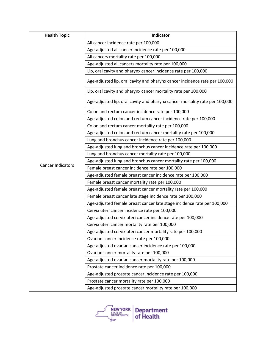| <b>Health Topic</b>      | Indicator                                                                   |
|--------------------------|-----------------------------------------------------------------------------|
|                          | All cancer incidence rate per 100,000                                       |
|                          | Age-adjusted all cancer incidence rate per 100,000                          |
|                          | All cancers mortality rate per 100,000                                      |
|                          | Age-adjusted all cancers mortality rate per 100,000                         |
|                          | Lip, oral cavity and pharynx cancer incidence rate per 100,000              |
|                          | Age-adjusted lip, oral cavity and pharynx cancer incidence rate per 100,000 |
|                          | Lip, oral cavity and pharynx cancer mortality rate per 100,000              |
|                          | Age-adjusted lip, oral cavity and pharynx cancer mortality rate per 100,000 |
|                          | Colon and rectum cancer incidence rate per 100,000                          |
|                          | Age-adjusted colon and rectum cancer incidence rate per 100,000             |
|                          | Colon and rectum cancer mortality rate per 100,000                          |
|                          | Age-adjusted colon and rectum cancer mortality rate per 100,000             |
|                          | Lung and bronchus cancer incidence rate per 100,000                         |
|                          | Age-adjusted lung and bronchus cancer incidence rate per 100,000            |
|                          | Lung and bronchus cancer mortality rate per 100,000                         |
| <b>Cancer Indicators</b> | Age-adjusted lung and bronchus cancer mortality rate per 100,000            |
|                          | Female breast cancer incidence rate per 100,000                             |
|                          | Age-adjusted female breast cancer incidence rate per 100,000                |
|                          | Female breast cancer mortality rate per 100,000                             |
|                          | Age-adjusted female breast cancer mortality rate per 100,000                |
|                          | Female breast cancer late stage incidence rate per 100,000                  |
|                          | Age-adjusted female breast cancer late stage incidence rate per 100,000     |
|                          | Cervix uteri cancer incidence rate per 100,000                              |
|                          | Age-adjusted cervix uteri cancer incidence rate per 100,000                 |
|                          | Cervix uteri cancer mortality rate per 100,000                              |
|                          | Age-adjusted cervix uteri cancer mortality rate per 100,000                 |
|                          | Ovarian cancer incidence rate per 100,000                                   |
|                          | Age-adjusted ovarian cancer incidence rate per 100,000                      |
|                          | Ovarian cancer mortality rate per 100,000                                   |
|                          | Age-adjusted ovarian cancer mortality rate per 100,000                      |
|                          | Prostate cancer incidence rate per 100,000                                  |
|                          | Age-adjusted prostate cancer incidence rate per 100,000                     |
|                          | Prostate cancer mortality rate per 100,000                                  |
|                          | Age-adjusted prostate cancer mortality rate per 100,000                     |

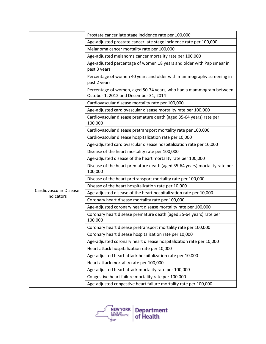|                        | Prostate cancer late stage incidence rate per 100,000                                                       |
|------------------------|-------------------------------------------------------------------------------------------------------------|
|                        | Age-adjusted prostate cancer late stage incidence rate per 100,000                                          |
|                        | Melanoma cancer mortality rate per 100,000                                                                  |
|                        | Age-adjusted melanoma cancer mortality rate per 100,000                                                     |
|                        | Age-adjusted percentage of women 18 years and older with Pap smear in<br>past 3 years                       |
|                        | Percentage of women 40 years and older with mammography screening in<br>past 2 years                        |
|                        | Percentage of women, aged 50-74 years, who had a mammogram between<br>October 1, 2012 and December 31, 2014 |
|                        | Cardiovascular disease mortality rate per 100,000                                                           |
|                        | Age-adjusted cardiovascular disease mortality rate per 100,000                                              |
|                        | Cardiovascular disease premature death (aged 35-64 years) rate per<br>100,000                               |
|                        | Cardiovascular disease pretransport mortality rate per 100,000                                              |
|                        | Cardiovascular disease hospitalization rate per 10,000                                                      |
|                        | Age-adjusted cardiovascular disease hospitalization rate per 10,000                                         |
|                        | Disease of the heart mortality rate per 100,000                                                             |
|                        | Age-adjusted disease of the heart mortality rate per 100,000                                                |
|                        | Disease of the heart premature death (aged 35-64 years) mortality rate per<br>100,000                       |
|                        | Disease of the heart pretransport mortality rate per 100,000                                                |
|                        | Disease of the heart hospitalization rate per 10,000                                                        |
| Cardiovascular Disease | Age-adjusted disease of the heart hospitalization rate per 10,000                                           |
| Indicators             | Coronary heart disease mortality rate per 100,000                                                           |
|                        | Age-adjusted coronary heart disease mortality rate per 100,000                                              |
|                        | Coronary heart disease premature death (aged 35-64 years) rate per<br>100,000                               |
|                        | Coronary heart disease pretransport mortality rate per 100,000                                              |
|                        | Coronary heart disease hospitalization rate per 10,000                                                      |
|                        | Age-adjusted coronary heart disease hospitalization rate per 10,000                                         |
|                        | Heart attack hospitalization rate per 10,000                                                                |
|                        | Age-adjusted heart attack hospitalization rate per 10,000                                                   |
|                        | Heart attack mortality rate per 100,000                                                                     |
|                        | Age-adjusted heart attack mortality rate per 100,000                                                        |
|                        | Congestive heart failure mortality rate per 100,000                                                         |
|                        | Age-adjusted congestive heart failure mortality rate per 100,000                                            |

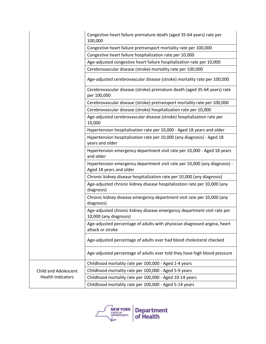|                                                         | Congestive heart failure premature death (aged 35-64 years) rate per<br>100,000                      |
|---------------------------------------------------------|------------------------------------------------------------------------------------------------------|
|                                                         | Congestive heart failure pretransport mortality rate per 100,000                                     |
|                                                         | Congestive heart failure hospitalization rate per 10,000                                             |
|                                                         | Age-adjusted congestive heart failure hospitalization rate per 10,000                                |
|                                                         | Cerebrovascular disease (stroke) mortality rate per 100,000                                          |
|                                                         | Age-adjusted cerebrovascular disease (stroke) mortality rate per 100,000                             |
|                                                         | Cerebrovascular disease (stroke) premature death (aged 35-64 years) rate<br>per 100,000              |
|                                                         | Cerebrovascular disease (stroke) pretransport mortality rate per 100,000                             |
|                                                         | Cerebrovascular disease (stroke) hospitalization rate per 10,000                                     |
|                                                         | Age-adjusted cerebrovascular disease (stroke) hospitalization rate per<br>10,000                     |
|                                                         | Hypertension hospitalization rate per 10,000 - Aged 18 years and older                               |
|                                                         | Hypertension hospitalization rate per 10,000 (any diagnosis) - Aged 18<br>years and older            |
|                                                         | Hypertension emergency department visit rate per 10,000 - Aged 18 years<br>and older                 |
|                                                         | Hypertension emergency department visit rate per 10,000 (any diagnosis) -<br>Aged 18 years and older |
|                                                         | Chronic kidney disease hospitalization rate per 10,000 (any diagnosis)                               |
|                                                         | Age-adjusted chronic kidney disease hospitalization rate per 10,000 (any<br>diagnosis)               |
|                                                         | Chronic kidney disease emergency department visit rate per 10,000 (any<br>diagnosis)                 |
|                                                         | Age-adjusted chronic kidney disease emergency department visit rate per<br>10,000 (any diagnosis)    |
|                                                         | Age-adjusted percentage of adults with physician diagnosed angina, heart<br>attack or stroke         |
|                                                         | Age-adjusted percentage of adults ever had blood cholesterol checked                                 |
|                                                         | Age-adjusted percentage of adults ever told they have high blood pressure                            |
|                                                         | Childhood mortality rate per 100,000 - Aged 1-4 years                                                |
| <b>Child and Adolescent</b><br><b>Health Indicators</b> | Childhood mortality rate per 100,000 - Aged 5-9 years                                                |
|                                                         | Childhood mortality rate per 100,000 - Aged 10-14 years                                              |
|                                                         | Childhood mortality rate per 100,000 - Aged 5-14 years                                               |

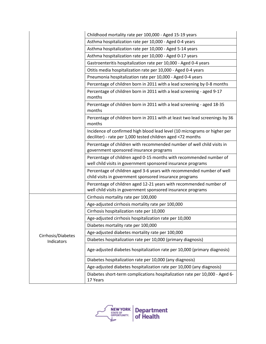|                    | Childhood mortality rate per 100,000 - Aged 15-19 years                                                                                  |
|--------------------|------------------------------------------------------------------------------------------------------------------------------------------|
|                    | Asthma hospitalization rate per 10,000 - Aged 0-4 years                                                                                  |
|                    | Asthma hospitalization rate per 10,000 - Aged 5-14 years                                                                                 |
|                    | Asthma hospitalization rate per 10,000 - Aged 0-17 years                                                                                 |
|                    | Gastroenteritis hospitalization rate per 10,000 - Aged 0-4 years                                                                         |
|                    | Otitis media hospitalization rate per 10,000 - Aged 0-4 years                                                                            |
|                    | Pneumonia hospitalization rate per 10,000 - Aged 0-4 years                                                                               |
|                    | Percentage of children born in 2011 with a lead screening by 0-8 months                                                                  |
|                    | Percentage of children born in 2011 with a lead screening - aged 9-17<br>months                                                          |
|                    | Percentage of children born in 2011 with a lead screening - aged 18-35<br>months                                                         |
|                    | Percentage of children born in 2011 with at least two lead screenings by 36<br>months                                                    |
|                    | Incidence of confirmed high blood lead level (10 micrograms or higher per<br>deciliter) - rate per 1,000 tested children aged <72 months |
|                    | Percentage of children with recommended number of well child visits in<br>government sponsored insurance programs                        |
|                    | Percentage of children aged 0-15 months with recommended number of<br>well child visits in government sponsored insurance programs       |
|                    | Percentage of children aged 3-6 years with recommended number of well<br>child visits in government sponsored insurance programs         |
|                    | Percentage of children aged 12-21 years with recommended number of<br>well child visits in government sponsored insurance programs       |
|                    | Cirrhosis mortality rate per 100,000                                                                                                     |
|                    | Age-adjusted cirrhosis mortality rate per 100,000                                                                                        |
|                    | Cirrhosis hospitalization rate per 10,000                                                                                                |
|                    | Age-adjusted cirrhosis hospitalization rate per 10,000                                                                                   |
|                    | Diabetes mortality rate per 100,000                                                                                                      |
| Cirrhosis/Diabetes | Age-adjusted diabetes mortality rate per 100,000                                                                                         |
| Indicators         | Diabetes hospitalization rate per 10,000 (primary diagnosis)                                                                             |
|                    | Age-adjusted diabetes hospitalization rate per 10,000 (primary diagnosis)                                                                |
|                    | Diabetes hospitalization rate per 10,000 (any diagnosis)                                                                                 |
|                    | Age-adjusted diabetes hospitalization rate per 10,000 (any diagnosis)                                                                    |
|                    | Diabetes short-term complications hospitalization rate per 10,000 - Aged 6-<br>17 Years                                                  |

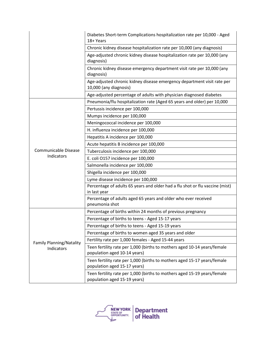|                          | Diabetes Short-term Complications hospitalization rate per 10,000 - Aged<br>18+ Years                    |
|--------------------------|----------------------------------------------------------------------------------------------------------|
|                          | Chronic kidney disease hospitalization rate per 10,000 (any diagnosis)                                   |
|                          | Age-adjusted chronic kidney disease hospitalization rate per 10,000 (any<br>diagnosis)                   |
|                          | Chronic kidney disease emergency department visit rate per 10,000 (any<br>diagnosis)                     |
|                          | Age-adjusted chronic kidney disease emergency department visit rate per<br>10,000 (any diagnosis)        |
|                          | Age-adjusted percentage of adults with physician diagnosed diabetes                                      |
|                          | Pneumonia/flu hospitalization rate (Aged 65 years and older) per 10,000                                  |
|                          | Pertussis incidence per 100,000                                                                          |
|                          | Mumps incidence per 100,000                                                                              |
|                          | Meningococcal incidence per 100,000                                                                      |
|                          | H. influenza incidence per 100,000                                                                       |
|                          | Hepatitis A incidence per 100,000                                                                        |
|                          | Acute hepatitis B incidence per 100,000                                                                  |
| Communicable Disease     | Tuberculosis incidence per 100,000                                                                       |
| Indicators               | E. coli O157 incidence per 100,000                                                                       |
|                          | Salmonella incidence per 100,000                                                                         |
|                          | Shigella incidence per 100,000                                                                           |
|                          | Lyme disease incidence per 100,000                                                                       |
|                          | Percentage of adults 65 years and older had a flu shot or flu vaccine (mist)<br>in last year             |
|                          | Percentage of adults aged 65 years and older who ever received<br>pneumonia shot                         |
|                          | Percentage of births within 24 months of previous pregnancy                                              |
|                          | Percentage of births to teens - Aged 15-17 years                                                         |
|                          | Percentage of births to teens - Aged 15-19 years                                                         |
|                          | Percentage of births to women aged 35 years and older                                                    |
| Family Planning/Natality | Fertility rate per 1,000 females - Aged 15-44 years                                                      |
| Indicators               | Teen fertility rate per 1,000 (births to mothers aged 10-14 years/female<br>population aged 10-14 years) |
|                          | Teen fertility rate per 1,000 (births to mothers aged 15-17 years/female<br>population aged 15-17 years) |
|                          | Teen fertility rate per 1,000 (births to mothers aged 15-19 years/female<br>population aged 15-19 years) |

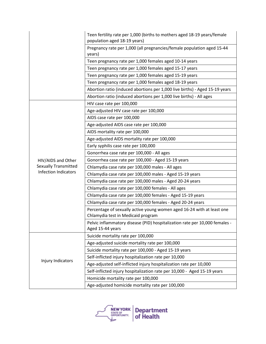|                             | Teen fertility rate per 1,000 (births to mothers aged 18-19 years/female<br>population aged 18-19 years)     |
|-----------------------------|--------------------------------------------------------------------------------------------------------------|
|                             | Pregnancy rate per 1,000 (all pregnancies/female population aged 15-44<br>years)                             |
|                             | Teen pregnancy rate per 1,000 females aged 10-14 years                                                       |
|                             | Teen pregnancy rate per 1,000 females aged 15-17 years                                                       |
|                             | Teen pregnancy rate per 1,000 females aged 15-19 years                                                       |
|                             | Teen pregnancy rate per 1,000 females aged 18-19 years                                                       |
|                             | Abortion ratio (induced abortions per 1,000 live births) - Aged 15-19 years                                  |
|                             | Abortion ratio (induced abortions per 1,000 live births) - All ages                                          |
|                             | HIV case rate per 100,000                                                                                    |
|                             | Age-adjusted HIV case rate per 100,000                                                                       |
|                             | AIDS case rate per 100,000                                                                                   |
|                             | Age-adjusted AIDS case rate per 100,000                                                                      |
|                             | AIDS mortality rate per 100,000                                                                              |
|                             | Age-adjusted AIDS mortality rate per 100,000                                                                 |
|                             | Early syphilis case rate per 100,000                                                                         |
|                             | Gonorrhea case rate per 100,000 - All ages                                                                   |
| HIV/AIDS and Other          | Gonorrhea case rate per 100,000 - Aged 15-19 years                                                           |
| <b>Sexually Transmitted</b> | Chlamydia case rate per 100,000 males - All ages                                                             |
| <b>Infection Indicators</b> | Chlamydia case rate per 100,000 males - Aged 15-19 years                                                     |
|                             | Chlamydia case rate per 100,000 males - Aged 20-24 years                                                     |
|                             | Chlamydia case rate per 100,000 females - All ages                                                           |
|                             | Chlamydia case rate per 100,000 females - Aged 15-19 years                                                   |
|                             | Chlamydia case rate per 100,000 females - Aged 20-24 years                                                   |
|                             | Percentage of sexually active young women aged 16-24 with at least one<br>Chlamydia test in Medicaid program |
|                             | Pelvic inflammatory disease (PID) hospitalization rate per 10,000 females -<br>Aged 15-44 years              |
|                             | Suicide mortality rate per 100,000                                                                           |
|                             | Age-adjusted suicide mortality rate per 100,000                                                              |
|                             | Suicide mortality rate per 100,000 - Aged 15-19 years                                                        |
| Injury Indicators           | Self-inflicted injury hospitalization rate per 10,000                                                        |
|                             | Age-adjusted self-inflicted injury hospitalization rate per 10,000                                           |
|                             | Self-inflicted injury hospitalization rate per 10,000 - Aged 15-19 years                                     |
|                             | Homicide mortality rate per 100,000                                                                          |
|                             | Age-adjusted homicide mortality rate per 100,000                                                             |

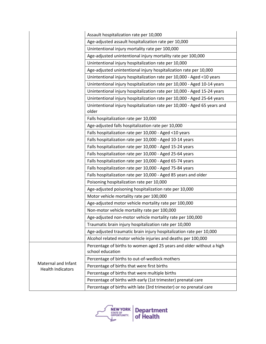|                                                 | Assault hospitalization rate per 10,000                                                  |
|-------------------------------------------------|------------------------------------------------------------------------------------------|
|                                                 | Age-adjusted assault hospitalization rate per 10,000                                     |
|                                                 | Unintentional injury mortality rate per 100,000                                          |
|                                                 | Age-adjusted unintentional injury mortality rate per 100,000                             |
|                                                 | Unintentional injury hospitalization rate per 10,000                                     |
|                                                 | Age-adjusted unintentional injury hospitalization rate per 10,000                        |
|                                                 | Unintentional injury hospitalization rate per 10,000 - Aged <10 years                    |
|                                                 | Unintentional injury hospitalization rate per 10,000 - Aged 10-14 years                  |
|                                                 | Unintentional injury hospitalization rate per 10,000 - Aged 15-24 years                  |
|                                                 | Unintentional injury hospitalization rate per 10,000 - Aged 25-64 years                  |
|                                                 | Unintentional injury hospitalization rate per 10,000 - Aged 65 years and<br>older        |
|                                                 | Falls hospitalization rate per 10,000                                                    |
|                                                 | Age-adjusted falls hospitalization rate per 10,000                                       |
|                                                 | Falls hospitalization rate per 10,000 - Aged <10 years                                   |
|                                                 | Falls hospitalization rate per 10,000 - Aged 10-14 years                                 |
|                                                 | Falls hospitalization rate per 10,000 - Aged 15-24 years                                 |
|                                                 | Falls hospitalization rate per 10,000 - Aged 25-64 years                                 |
|                                                 | Falls hospitalization rate per 10,000 - Aged 65-74 years                                 |
|                                                 | Falls hospitalization rate per 10,000 - Aged 75-84 years                                 |
|                                                 | Falls hospitalization rate per 10,000 - Aged 85 years and older                          |
|                                                 | Poisoning hospitalization rate per 10,000                                                |
|                                                 | Age-adjusted poisoning hospitalization rate per 10,000                                   |
|                                                 | Motor vehicle mortality rate per 100,000                                                 |
|                                                 | Age-adjusted motor vehicle mortality rate per 100,000                                    |
|                                                 | Non-motor vehicle mortality rate per 100,000                                             |
|                                                 | Age-adjusted non-motor vehicle mortality rate per 100,000                                |
|                                                 | Traumatic brain injury hospitalization rate per 10,000                                   |
|                                                 | Age-adjusted traumatic brain injury hospitalization rate per 10,000                      |
|                                                 | Alcohol related motor vehicle injuries and deaths per 100,000                            |
|                                                 | Percentage of births to women aged 25 years and older without a high<br>school education |
|                                                 | Percentage of births to out-of-wedlock mothers                                           |
| Maternal and Infant<br><b>Health Indicators</b> | Percentage of births that were first births                                              |
|                                                 | Percentage of births that were multiple births                                           |
|                                                 | Percentage of births with early (1st trimester) prenatal care                            |
|                                                 | Percentage of births with late (3rd trimester) or no prenatal care                       |

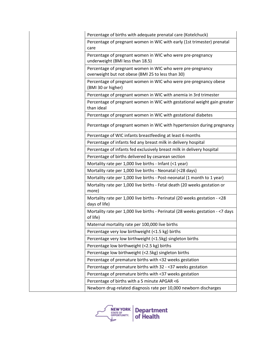Percentage of births with adequate prenatal care (Kotelchuck)

Percentage of pregnant women in WIC with early (1st trimester) prenatal care

Percentage of pregnant women in WIC who were pre-pregnancy underweight (BMI less than 18.5)

Percentage of pregnant women in WIC who were pre-pregnancy overweight but not obese (BMI 25 to less than 30)

Percentage of pregnant women in WIC who were pre-pregnancy obese (BMI 30 or higher)

Percentage of pregnant women in WIC with anemia in 3rd trimester

Percentage of pregnant women in WIC with gestational weight gain greater than ideal

Percentage of pregnant women in WIC with gestational diabetes

Percentage of pregnant women in WIC with hypertension during pregnancy

Percentage of WIC infants breastfeeding at least 6 months

Percentage of infants fed any breast milk in delivery hospital

Percentage of infants fed exclusively breast milk in delivery hospital

Percentage of births delivered by cesarean section

Mortality rate per 1,000 live births - Infant (<1 year)

Mortality rate per 1,000 live births - Neonatal (<28 days)

Mortality rate per 1,000 live births - Post-neonatal (1 month to 1 year)

Mortality rate per 1,000 live births - Fetal death (20 weeks gestation or more)

Mortality rate per 1,000 live births - Perinatal (20 weeks gestation - <28 days of life)

Mortality rate per 1,000 live births - Perinatal (28 weeks gestation - <7 days of life)

Maternal mortality rate per 100,000 live births

Percentage very low birthweight (<1.5 kg) births

Percentage very low birthweight (<1.5kg) singleton births

Percentage low birthweight (<2.5 kg) births

Percentage low birthweight (<2.5kg) singleton births

Percentage of premature births with <32 weeks gestation

Percentage of premature births with 32 - <37 weeks gestation

Percentage of premature births with <37 weeks gestation

Percentage of births with a 5 minute APGAR <6

Newborn drug-related diagnosis rate per 10,000 newborn discharges

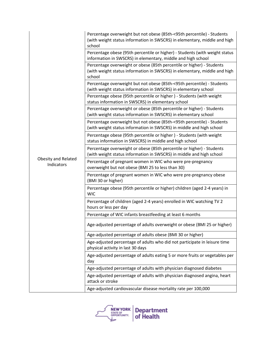|                                          | Percentage overweight but not obese (85th-<95th percentile) - Students<br>(with weight status information in SWSCRS) in elementary, middle and high<br>school |
|------------------------------------------|---------------------------------------------------------------------------------------------------------------------------------------------------------------|
|                                          | Percentage obese (95th percentile or higher) - Students (with weight status<br>information in SWSCRS) in elementary, middle and high school                   |
|                                          | Percentage overweight or obese (85th percentile or higher) - Students<br>(with weight status information in SWSCRS) in elementary, middle and high<br>school  |
|                                          | Percentage overweight but not obese (85th-<95th percentile) - Students<br>(with weight status information in SWSCRS) in elementary school                     |
|                                          | Percentage obese (95th percentile or higher) - Students (with weight<br>status information in SWSCRS) in elementary school                                    |
|                                          | Percentage overweight or obese (85th percentile or higher) - Students<br>(with weight status information in SWSCRS) in elementary school                      |
|                                          | Percentage overweight but not obese (85th-<95th percentile) - Students<br>(with weight status information in SWSCRS) in middle and high school                |
|                                          | Percentage obese (95th percentile or higher) - Students (with weight<br>status information in SWSCRS) in middle and high school                               |
|                                          | Percentage overweight or obese (85th percentile or higher) - Students<br>(with weight status information in SWSCRS) in middle and high school                 |
| <b>Obesity and Related</b><br>Indicators | Percentage of pregnant women in WIC who were pre-pregnancy<br>overweight but not obese (BMI 25 to less than 30)                                               |
|                                          | Percentage of pregnant women in WIC who were pre-pregnancy obese<br>(BMI 30 or higher)                                                                        |
|                                          | Percentage obese (95th percentile or higher) children (aged 2-4 years) in<br><b>WIC</b>                                                                       |
|                                          | Percentage of children (aged 2-4 years) enrolled in WIC watching TV 2<br>hours or less per day                                                                |
|                                          | Percentage of WIC infants breastfeeding at least 6 months                                                                                                     |
|                                          | Age-adjusted percentage of adults overweight or obese (BMI 25 or higher)                                                                                      |
|                                          | Age-adjusted percentage of adults obese (BMI 30 or higher)                                                                                                    |
|                                          | Age-adjusted percentage of adults who did not participate in leisure time<br>physical activity in last 30 days                                                |
|                                          | Age-adjusted percentage of adults eating 5 or more fruits or vegetables per<br>day                                                                            |
|                                          | Age-adjusted percentage of adults with physician diagnosed diabetes                                                                                           |
|                                          | Age-adjusted percentage of adults with physician diagnosed angina, heart<br>attack or stroke                                                                  |
|                                          | Age-adjusted cardiovascular disease mortality rate per 100,000                                                                                                |

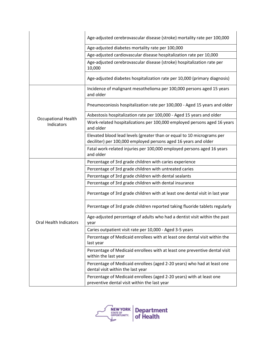|                                          | Age-adjusted cerebrovascular disease (stroke) mortality rate per 100,000                                                                  |
|------------------------------------------|-------------------------------------------------------------------------------------------------------------------------------------------|
|                                          | Age-adjusted diabetes mortality rate per 100,000                                                                                          |
|                                          | Age-adjusted cardiovascular disease hospitalization rate per 10,000                                                                       |
|                                          | Age-adjusted cerebrovascular disease (stroke) hospitalization rate per<br>10,000                                                          |
|                                          | Age-adjusted diabetes hospitalization rate per 10,000 (primary diagnosis)                                                                 |
|                                          | Incidence of malignant mesothelioma per 100,000 persons aged 15 years<br>and older                                                        |
|                                          | Pneumoconiosis hospitalization rate per 100,000 - Aged 15 years and older                                                                 |
|                                          | Asbestosis hospitalization rate per 100,000 - Aged 15 years and older                                                                     |
| <b>Occupational Health</b><br>Indicators | Work-related hospitalizations per 100,000 employed persons aged 16 years<br>and older                                                     |
|                                          | Elevated blood lead levels (greater than or equal to 10 micrograms per<br>deciliter) per 100,000 employed persons aged 16 years and older |
|                                          | Fatal work-related injuries per 100,000 employed persons aged 16 years<br>and older                                                       |
|                                          | Percentage of 3rd grade children with caries experience                                                                                   |
|                                          | Percentage of 3rd grade children with untreated caries                                                                                    |
|                                          | Percentage of 3rd grade children with dental sealants                                                                                     |
|                                          | Percentage of 3rd grade children with dental insurance                                                                                    |
| <b>Oral Health Indicators</b>            | Percentage of 3rd grade children with at least one dental visit in last year                                                              |
|                                          | Percentage of 3rd grade children reported taking fluoride tablets regularly                                                               |
|                                          | Age-adjusted percentage of adults who had a dentist visit within the past<br>year                                                         |
|                                          | Caries outpatient visit rate per 10,000 - Aged 3-5 years                                                                                  |
|                                          | Percentage of Medicaid enrollees with at least one dental visit within the<br>last year                                                   |
|                                          | Percentage of Medicaid enrollees with at least one preventive dental visit<br>within the last year                                        |
|                                          | Percentage of Medicaid enrollees (aged 2-20 years) who had at least one<br>dental visit within the last year                              |
|                                          | Percentage of Medicaid enrollees (aged 2-20 years) with at least one<br>preventive dental visit within the last year                      |

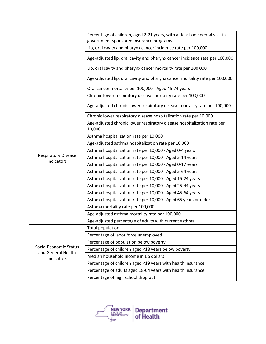|                                         | Percentage of children, aged 2-21 years, with at least one dental visit in<br>government sponsored insurance programs |
|-----------------------------------------|-----------------------------------------------------------------------------------------------------------------------|
|                                         | Lip, oral cavity and pharynx cancer incidence rate per 100,000                                                        |
|                                         | Age-adjusted lip, oral cavity and pharynx cancer incidence rate per 100,000                                           |
|                                         | Lip, oral cavity and pharynx cancer mortality rate per 100,000                                                        |
|                                         | Age-adjusted lip, oral cavity and pharynx cancer mortality rate per 100,000                                           |
|                                         | Oral cancer mortality per 100,000 - Aged 45-74 years                                                                  |
|                                         | Chronic lower respiratory disease mortality rate per 100,000                                                          |
|                                         | Age-adjusted chronic lower respiratory disease mortality rate per 100,000                                             |
|                                         | Chronic lower respiratory disease hospitalization rate per 10,000                                                     |
|                                         | Age-adjusted chronic lower respiratory disease hospitalization rate per<br>10,000                                     |
|                                         | Asthma hospitalization rate per 10,000                                                                                |
|                                         | Age-adjusted asthma hospitalization rate per 10,000                                                                   |
|                                         | Asthma hospitalization rate per 10,000 - Aged 0-4 years                                                               |
| <b>Respiratory Disease</b>              | Asthma hospitalization rate per 10,000 - Aged 5-14 years                                                              |
| Indicators                              | Asthma hospitalization rate per 10,000 - Aged 0-17 years                                                              |
|                                         | Asthma hospitalization rate per 10,000 - Aged 5-64 years                                                              |
|                                         | Asthma hospitalization rate per 10,000 - Aged 15-24 years                                                             |
|                                         | Asthma hospitalization rate per 10,000 - Aged 25-44 years                                                             |
|                                         | Asthma hospitalization rate per 10,000 - Aged 45-64 years                                                             |
|                                         | Asthma hospitalization rate per 10,000 - Aged 65 years or older                                                       |
|                                         | Asthma mortality rate per 100,000                                                                                     |
|                                         | Age-adjusted asthma mortality rate per 100,000                                                                        |
|                                         | Age-adjusted percentage of adults with current asthma                                                                 |
|                                         | <b>Total population</b>                                                                                               |
|                                         | Percentage of labor force unemployed                                                                                  |
|                                         | Percentage of population below poverty                                                                                |
| Socio-Economic Status                   | Percentage of children aged <18 years below poverty                                                                   |
| and General Health<br><b>Indicators</b> | Median household income in US dollars                                                                                 |
|                                         | Percentage of children aged <19 years with health insurance                                                           |
|                                         | Percentage of adults aged 18-64 years with health insurance                                                           |
|                                         | Percentage of high school drop out                                                                                    |